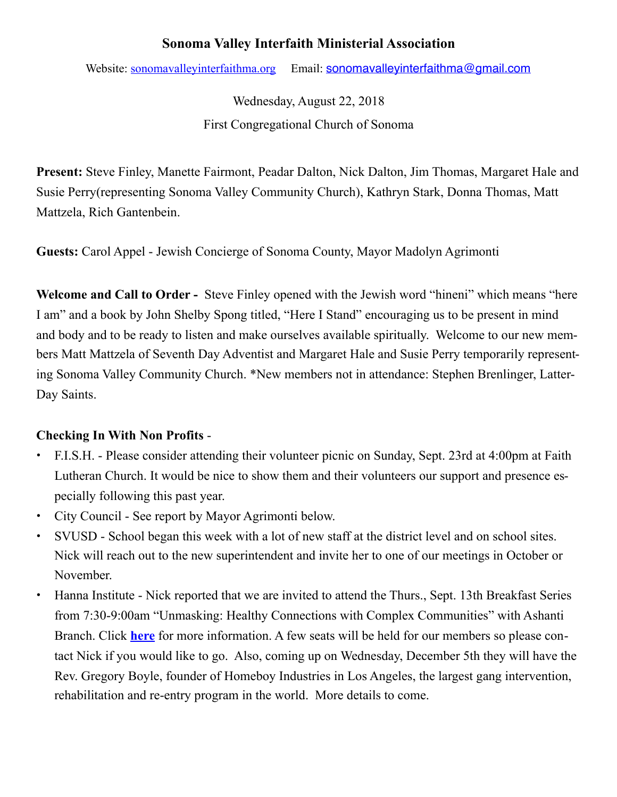## **Sonoma Valley Interfaith Ministerial Association**

Website: [sonomavalleyinterfaithma.org](http://sonomavalleyinterfaithma.org) Email: sonomavalle vinterfaithma@gmail.com

Wednesday, August 22, 2018 First Congregational Church of Sonoma

**Present:** Steve Finley, Manette Fairmont, Peadar Dalton, Nick Dalton, Jim Thomas, Margaret Hale and Susie Perry(representing Sonoma Valley Community Church), Kathryn Stark, Donna Thomas, Matt Mattzela, Rich Gantenbein.

**Guests:** Carol Appel - Jewish Concierge of Sonoma County, Mayor Madolyn Agrimonti

**Welcome and Call to Order -** Steve Finley opened with the Jewish word "hineni" which means "here I am" and a book by John Shelby Spong titled, "Here I Stand" encouraging us to be present in mind and body and to be ready to listen and make ourselves available spiritually. Welcome to our new members Matt Mattzela of Seventh Day Adventist and Margaret Hale and Susie Perry temporarily representing Sonoma Valley Community Church. \*New members not in attendance: Stephen Brenlinger, Latter-Day Saints.

## **Checking In With Non Profits** -

- **•** F.I.S.H. Please consider attending their volunteer picnic on Sunday, Sept. 23rd at 4:00pm at Faith Lutheran Church. It would be nice to show them and their volunteers our support and presence especially following this past year.
- **•** City Council See report by Mayor Agrimonti below.
- **•** SVUSD School began this week with a lot of new staff at the district level and on school sites. Nick will reach out to the new superintendent and invite her to one of our meetings in October or November.
- **•** Hanna Institute Nick reported that we are invited to attend the Thurs., Sept. 13th Breakfast Series from 7:30-9:00am "Unmasking: Healthy Connections with Complex Communities" with Ashanti Branch. Click **[here](https://hannainstitute.org/event/unmasking-healthy-connections-with-complex-communities/)** for more information. A few seats will be held for our members so please contact Nick if you would like to go. Also, coming up on Wednesday, December 5th they will have the Rev. Gregory Boyle, founder of Homeboy Industries in Los Angeles, the largest gang intervention, rehabilitation and re-entry program in the world. More details to come.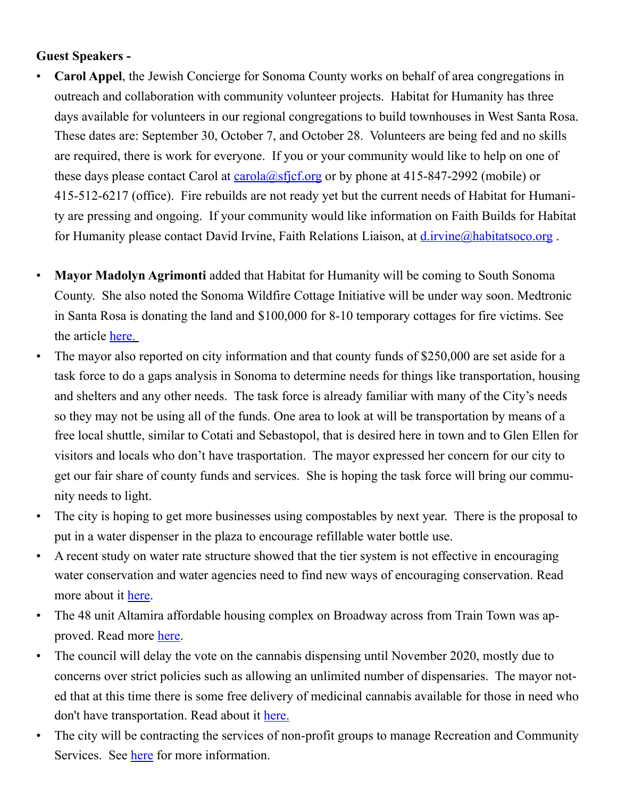## **Guest Speakers -**

- **Carol Appel**, the Jewish Concierge for Sonoma County works on behalf of area congregations in outreach and collaboration with community volunteer projects. Habitat for Humanity has three days available for volunteers in our regional congregations to build townhouses in West Santa Rosa. These dates are: September 30, October 7, and October 28. Volunteers are being fed and no skills are required, there is work for everyone. If you or your community would like to help on one of these days please contact Carol at  $\frac{card(a) s f(c) \cdot c g}{c}$  or by phone at 415-847-2992 (mobile) or 415-512-6217 (office). Fire rebuilds are not ready yet but the current needs of Habitat for Humanity are pressing and ongoing. If your community would like information on Faith Builds for Habitat for Humanity please contact David Irvine, Faith Relations Liaison, at *d.irvine*@habitatsoco.org.
- **Mayor Madolyn Agrimonti** added that Habitat for Humanity will be coming to South Sonoma County. She also noted the Sonoma Wildfire Cottage Initiative will be under way soon. Medtronic in Santa Rosa is donating the land and \$100,000 for 8-10 temporary cottages for fire victims. See the article [here](https://globenewswire.com/news-release/2018/06/06/1517946/0/en/HABITAT-FOR-HUMANITY-OF-SONOMA-COUNTYLAUNCHES-SONOMA-WILDFIRE-COTTAGE-INITIATIVE.html).
- The mayor also reported on city information and that county funds of \$250,000 are set aside for a task force to do a gaps analysis in Sonoma to determine needs for things like transportation, housing and shelters and any other needs. The task force is already familiar with many of the City's needs so they may not be using all of the funds. One area to look at will be transportation by means of a free local shuttle, similar to Cotati and Sebastopol, that is desired here in town and to Glen Ellen for visitors and locals who don't have trasportation. The mayor expressed her concern for our city to get our fair share of county funds and services. She is hoping the task force will bring our community needs to light.
- The city is hoping to get more businesses using compostables by next year. There is the proposal to put in a water dispenser in the plaza to encourage refillable water bottle use.
- A recent study on water rate structure showed that the tier system is not effective in encouraging water conservation and water agencies need to find new ways of encouraging conservation. Read more about it [here.](https://www.sonomacity.org/workshop-4-water-rate-structure-draft-study-and-proposed-rates-workshop/)
- The 48 unit Altamira affordable housing complex on Broadway across from Train Town was approved. Read more [here.](https://www.sonomacity.org/altamira-apartments/)
- The council will delay the vote on the cannabis dispensing until November 2020, mostly due to concerns over strict policies such as allowing an unlimited number of dispensaries. The mayor noted that at this time there is some free delivery of medicinal cannabis available for those in need who don't have transportation. Read about it [here.](https://www.pressdemocrat.com/news/8560438-181/sonoma-pushes-public-vote-on)
- The city will be contracting the services of non-profit groups to manage Recreation and Community Services. See [here](https://www.sonomacity.org/departments/recreation/) for more information.